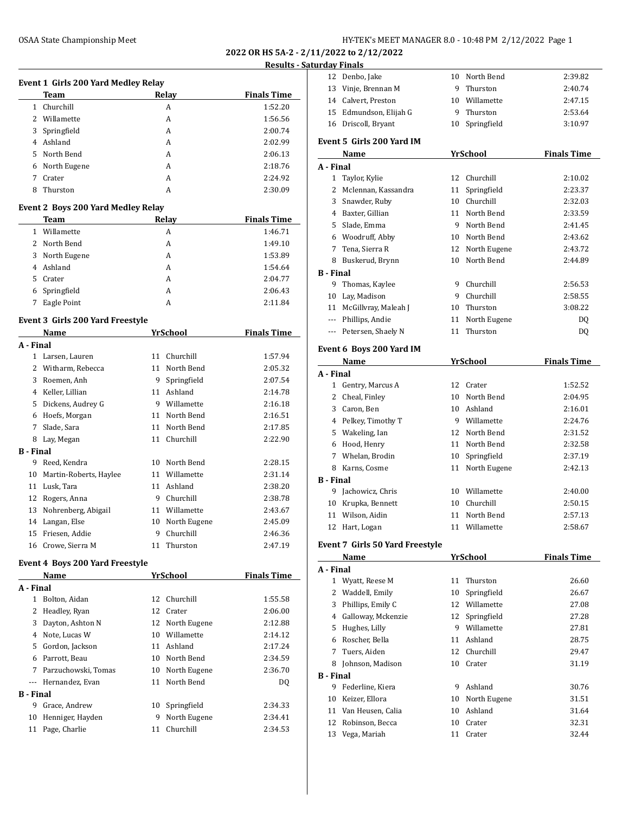**2022 OR HS 5A-2 - 2/11/2022 to 2/12/2022**

# **Results - Satu**

| <b>Event 1 Girls 200 Yard Medley Relay</b> |                                         |    |                 |                    |  |  |  |
|--------------------------------------------|-----------------------------------------|----|-----------------|--------------------|--|--|--|
|                                            | Team                                    |    | Relay           | <b>Finals Time</b> |  |  |  |
| 1                                          | Churchill                               |    | A               | 1:52.20            |  |  |  |
| 2                                          | Willamette                              |    | A               | 1:56.56            |  |  |  |
| 3                                          | Springfield                             |    | A               | 2:00.74            |  |  |  |
|                                            | 4 Ashland                               |    | A               | 2:02.99            |  |  |  |
| 5                                          | North Bend                              |    | A               | 2:06.13            |  |  |  |
|                                            | 6 North Eugene                          |    | A               | 2:18.76            |  |  |  |
| 7                                          | Crater                                  |    | A               | 2:24.92            |  |  |  |
| 8                                          | Thurston                                |    | A               | 2:30.09            |  |  |  |
| Event 2 Boys 200 Yard Medley Relay         |                                         |    |                 |                    |  |  |  |
|                                            | Team                                    |    | Relay           | <b>Finals Time</b> |  |  |  |
| $\mathbf{1}$                               | Willamette                              |    | A               | 1:46.71            |  |  |  |
| 2                                          | North Bend                              |    | A               | 1:49.10            |  |  |  |
|                                            | 3 North Eugene                          |    | A               | 1:53.89            |  |  |  |
| 4                                          | Ashland                                 |    | A               | 1:54.64            |  |  |  |
|                                            | 5 Crater                                |    | A               | 2:04.77            |  |  |  |
| 6                                          | Springfield                             |    | A               | 2:06.43            |  |  |  |
| 7                                          | Eagle Point                             |    | A               | 2:11.84            |  |  |  |
|                                            | <b>Event 3 Girls 200 Yard Freestyle</b> |    |                 |                    |  |  |  |
|                                            | Name                                    |    | <b>YrSchool</b> | <b>Finals Time</b> |  |  |  |
| A - Final                                  |                                         |    |                 |                    |  |  |  |
|                                            | 1 Larsen, Lauren                        |    | 11 Churchill    | 1:57.94            |  |  |  |
|                                            | 2 Witharm, Rebecca                      |    | 11 North Bend   | 2:05.32            |  |  |  |
|                                            | 3 Roemen, Anh                           | 9  | Springfield     | 2:07.54            |  |  |  |
|                                            | 4 Keller, Lillian                       |    | 11 Ashland      | 2:14.78            |  |  |  |
|                                            | 5 Dickens, Audrey G                     |    | 9 Willamette    | 2:16.18            |  |  |  |
|                                            | 6 Hoefs, Morgan                         |    | 11 North Bend   | 2:16.51            |  |  |  |
| 7                                          | Slade, Sara                             |    | 11 North Bend   | 2:17.85            |  |  |  |
| 8                                          | Lay, Megan                              |    | 11 Churchill    | 2:22.90            |  |  |  |
| <b>B</b> - Final                           |                                         |    |                 |                    |  |  |  |
|                                            | 9 Reed, Kendra                          |    | 10 North Bend   | 2:28.15            |  |  |  |
|                                            | 10 Martin-Roberts, Haylee               |    | 11 Willamette   | 2:31.14            |  |  |  |
|                                            | 11 Lusk, Tara                           |    | 11 Ashland      | 2:38.20            |  |  |  |
|                                            | 12 Rogers, Anna                         |    | 9 Churchill     | 2:38.78            |  |  |  |
| 13                                         | Nohrenberg, Abigail                     |    | 11 Willamette   | 2:43.67            |  |  |  |
| 14                                         | Langan, Else                            | 10 | North Eugene    | 2:45.09            |  |  |  |
| 15                                         | Friesen, Addie                          | 9  | Churchill       | 2:46.36            |  |  |  |
|                                            | 16 Crowe, Sierra M                      | 11 | Thurston        | 2:47.19            |  |  |  |
|                                            | <b>Event 4 Boys 200 Yard Freestyle</b>  |    |                 |                    |  |  |  |
|                                            | Name                                    |    | YrSchool        | <b>Finals Time</b> |  |  |  |
| A - Final                                  |                                         |    |                 |                    |  |  |  |
|                                            | 1 Bolton, Aidan                         |    | 12 Churchill    | 1:55.58            |  |  |  |
| $\overline{2}$                             | Headley, Ryan                           |    | 12 Crater       | 2:06.00            |  |  |  |
|                                            | 3 Dayton, Ashton N                      |    | 12 North Eugene | 2:12.88            |  |  |  |
|                                            | 4 Note, Lucas W                         |    | 10 Willamette   | 2:14.12            |  |  |  |
|                                            | 5 Gordon, Jackson                       |    | 11 Ashland      | 2:17.24            |  |  |  |
|                                            | 6 Parrott, Beau                         |    | 10 North Bend   | 2:34.59            |  |  |  |
|                                            | 7 Parzuchowski, Tomas                   |    | 10 North Eugene | 2:36.70            |  |  |  |
|                                            | --- Hernandez, Evan                     |    | 11 North Bend   | DQ                 |  |  |  |
|                                            | Einel                                   |    |                 |                    |  |  |  |

 Grace, Andrew 10 Springfield 2:34.33 10 Henniger, Hayden 9 North Eugene 2:34.41 Page, Charlie 11 Churchill 2:34.53

|                  | <b>irday Finals</b>             |    |                 |                    |
|------------------|---------------------------------|----|-----------------|--------------------|
| 12               | Denbo, Jake                     | 10 | North Bend      | 2:39.82            |
| 13               | Vinje, Brennan M                |    | 9 Thurston      | 2:40.74            |
|                  | 14 Calvert, Preston             |    | 10 Willamette   | 2:47.15            |
|                  | 15 Edmundson, Elijah G          |    | 9 Thurston      | 2:53.64            |
|                  | 16 Driscoll, Bryant             | 10 | Springfield     | 3:10.97            |
|                  | Event 5 Girls 200 Yard IM       |    |                 |                    |
|                  | Name                            |    | <b>YrSchool</b> | <b>Finals Time</b> |
| A - Final        |                                 |    |                 |                    |
|                  | 1 Taylor, Kylie                 | 12 | Churchill       | 2:10.02            |
|                  | 2 Mclennan, Kassandra           | 11 | Springfield     | 2:23.37            |
|                  | 3 Snawder, Ruby                 | 10 | Churchill       | 2:32.03            |
|                  | 4 Baxter, Gillian               | 11 | North Bend      | 2:33.59            |
|                  | 5 Slade, Emma                   |    | 9 North Bend    | 2:41.45            |
|                  | 6 Woodruff, Abby                |    | 10 North Bend   | 2:43.62            |
|                  | 7 Tena, Sierra R                |    | 12 North Eugene | 2:43.72            |
| 8                | Buskerud, Brynn                 | 10 | North Bend      | 2:44.89            |
| <b>B</b> - Final |                                 |    |                 |                    |
| 9                | Thomas, Kaylee                  |    | 9 Churchill     | 2:56.53            |
| 10               | Lay, Madison                    |    | 9 Churchill     | 2:58.55            |
|                  | 11 McGillvray, Maleah J         |    | 10 Thurston     | 3:08.22            |
|                  | --- Phillips, Andie             | 11 | North Eugene    | DQ                 |
|                  | --- Petersen, Shaely N          | 11 | Thurston        | DQ                 |
|                  |                                 |    |                 |                    |
|                  | Event 6 Boys 200 Yard IM        |    |                 |                    |
|                  | Name                            |    | YrSchool        | <b>Finals Time</b> |
| A - Final        |                                 |    |                 |                    |
|                  | 1 Gentry, Marcus A              |    | 12 Crater       | 1:52.52            |
|                  | 2 Cheal, Finley                 | 10 | North Bend      | 2:04.95            |
|                  | 3 Caron, Ben                    |    | 10 Ashland      | 2:16.01            |
|                  | 4 Pelkey, Timothy T             |    | 9 Willamette    | 2:24.76            |
|                  | 5 Wakeling, Ian                 |    | 12 North Bend   | 2:31.52            |
|                  | 6 Hood, Henry                   |    | 11 North Bend   | 2:32.58            |
|                  | 7 Whelan, Brodin                | 10 | Springfield     | 2:37.19            |
|                  | 8 Karns, Cosme                  | 11 | North Eugene    | 2:42.13            |
| <b>B</b> - Final |                                 |    |                 |                    |
| 9                | Jachowicz, Chris                |    | 10 Willamette   | 2:40.00            |
| 10               | Krupka, Bennett                 | 10 | Churchill       | 2:50.15            |
| 11               | Wilson, Aidin                   | 11 | North Bend      | 2:57.13            |
|                  | 12 Hart, Logan                  |    | 11 Willamette   | 2:58.67            |
|                  | Event 7 Girls 50 Yard Freestyle |    |                 |                    |
|                  | <b>Name</b>                     |    | <u>YrSchool</u> | <b>Finals Time</b> |
| A - Final        |                                 |    |                 |                    |
|                  | 1 Wyatt, Reese M                | 11 | Thurston        | 26.60              |
|                  | 2 Waddell, Emily                | 10 | Springfield     | 26.67              |
|                  | 3 Phillips, Emily C             |    | 12 Willamette   | 27.08              |
|                  | 4 Galloway, Mckenzie            |    | 12 Springfield  | 27.28              |
|                  | 5 Hughes, Lilly                 |    | 9 Willamette    | 27.81              |
|                  | 6 Roscher, Bella                |    | 11 Ashland      | 28.75              |
|                  | 7 Tuers, Aiden                  | 12 | Churchill       | 29.47              |
|                  | 8 Johnson, Madison              | 10 | Crater          | 31.19              |
| <b>B</b> - Final |                                 |    |                 |                    |
| 9                | Federline, Kiera                |    | 9 Ashland       | 30.76              |
| 10               | Keizer, Ellora                  |    | 10 North Eugene | 31.51              |
|                  | 11 Van Heusen, Calia            |    | 10 Ashland      | 31.64              |
| 12               | Robinson, Becca                 |    | 10 Crater       | 32.31              |
| 13               | Vega, Mariah                    | 11 | Crater          | 32.44              |
|                  |                                 |    |                 |                    |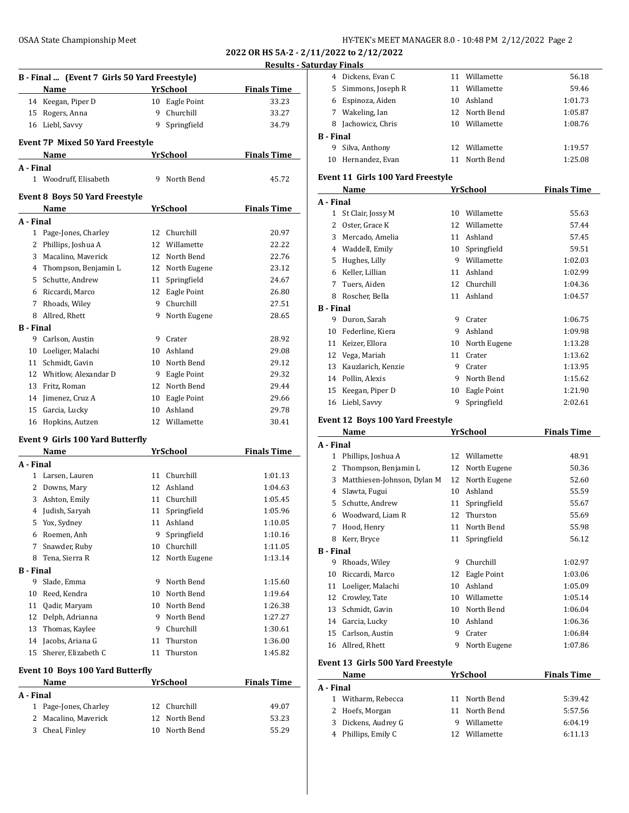# OSAA State Championship Meet

| HY-TEK's MEET MANAGER 8.0 - 10:48 PM 2/12/2022 Page 2 |  |  |  |  |
|-------------------------------------------------------|--|--|--|--|
|-------------------------------------------------------|--|--|--|--|

**2022 OR HS 5A-2 - 2/11/2022 to 2/12/2022 Results - Saturday Finals**

|                  |                                              |    |                 | <u> Kesults - Sa</u> |
|------------------|----------------------------------------------|----|-----------------|----------------------|
|                  | B - Final  (Event 7 Girls 50 Yard Freestyle) |    |                 |                      |
|                  | Name                                         |    | YrSchool        | <b>Finals Time</b>   |
|                  | 14 Keegan, Piper D                           | 10 | Eagle Point     | 33.23                |
| 15               | Rogers, Anna                                 | 9  | Churchill       | 33.27                |
|                  | 16 Liebl, Savvy                              | 9  | Springfield     | 34.79                |
|                  |                                              |    |                 |                      |
|                  | <b>Event 7P Mixed 50 Yard Freestyle</b>      |    |                 |                      |
|                  | Name                                         |    | YrSchool        | <b>Finals Time</b>   |
| A - Final        |                                              |    |                 |                      |
|                  | 1 Woodruff, Elisabeth                        | 9  | North Bend      | 45.72                |
|                  |                                              |    |                 |                      |
|                  | <b>Event 8 Boys 50 Yard Freestyle</b>        |    |                 |                      |
|                  | Name                                         |    | YrSchool        | <b>Finals Time</b>   |
| A - Final        |                                              |    |                 |                      |
|                  | 1 Page-Jones, Charley                        | 12 | Churchill       | 20.97                |
|                  | 2 Phillips, Joshua A                         | 12 | Willamette      | 22.22                |
|                  | 3 Macalino, Maverick                         | 12 | North Bend      | 22.76                |
|                  | 4 Thompson, Benjamin L                       |    | 12 North Eugene | 23.12                |
|                  | 5 Schutte, Andrew                            | 11 | Springfield     | 24.67                |
|                  | 6 Riccardi, Marco                            |    | 12 Eagle Point  | 26.80                |
|                  | 7 Rhoads, Wiley                              |    | 9 Churchill     | 27.51                |
|                  | 8 Allred, Rhett                              | 9  | North Eugene    | 28.65                |
| <b>B</b> - Final |                                              |    |                 |                      |
| 9                | Carlson, Austin                              | 9  | Crater          | 28.92                |
| 10               | Loeliger, Malachi                            | 10 | Ashland         | 29.08                |
|                  | 11 Schmidt, Gavin                            |    | 10 North Bend   | 29.12                |
|                  | 12 Whitlow, Alexandar D                      |    | 9 Eagle Point   | 29.32                |
|                  | 13 Fritz, Roman                              |    | 12 North Bend   | 29.44                |
|                  | 14 Jimenez, Cruz A                           |    | 10 Eagle Point  | 29.66                |
| 15               | Garcia, Lucky                                | 10 | Ashland         | 29.78                |
| 16               | Hopkins, Autzen                              |    | 12 Willamette   | 30.41                |
|                  |                                              |    |                 |                      |
|                  | <b>Event 9 Girls 100 Yard Butterfly</b>      |    |                 |                      |
|                  | Name                                         |    | <b>YrSchool</b> | <b>Finals Time</b>   |
| A - Final        |                                              |    |                 |                      |
|                  | 1 Larsen, Lauren                             | 11 | Churchill       | 1:01.13              |
|                  | 2 Downs, Mary                                |    | 12 Ashland      | 1:04.63              |
|                  | 3 Ashton, Emily                              |    | 11 Churchill    | 1:05.45              |
|                  | 4 Judish, Saryah                             | 11 | Springfield     | 1:05.96              |
| 5                | Yox, Sydney                                  |    | 11 Ashland      | 1:10.05              |
| 6                | Roemen, Anh                                  | 9  | Springfield     | 1:10.16              |
| 7                | Snawder, Ruby                                | 10 | Churchill       | 1:11.05              |
| 8                | Tena, Sierra R                               | 12 | North Eugene    | 1:13.14              |
| <b>B</b> - Final |                                              |    |                 |                      |
| 9                | Slade, Emma                                  | 9  | North Bend      | 1:15.60              |
| 10               | Reed, Kendra                                 | 10 | North Bend      | 1:19.64              |
| 11               | Qadir, Maryam                                | 10 | North Bend      | 1:26.38              |
| 12               | Delph, Adrianna                              | 9  | North Bend      | 1:27.27              |
| 13               | Thomas, Kaylee                               | 9  | Churchill       | 1:30.61              |
| 14               | Jacobs, Ariana G                             | 11 | Thurston        | 1:36.00              |
| 15               | Sherer, Elizabeth C                          | 11 | Thurston        | 1:45.82              |
|                  |                                              |    |                 |                      |
|                  | <b>Event 10 Boys 100 Yard Butterfly</b>      |    |                 |                      |
|                  | Name                                         |    | YrSchool        | <b>Finals Time</b>   |
| A - Final        |                                              |    |                 |                      |
| 1                | Page-Jones, Charley                          | 12 | Churchill       | 49.07                |
| 2                | Macalino, Maverick                           | 12 | North Bend      | 53.23                |
| 3                | Cheal, Finley                                | 10 | North Bend      | 55.29                |
|                  |                                              |    |                 |                      |

| 4                | Dickens, Evan C                          | 11 | Willamette      | 56.18              |
|------------------|------------------------------------------|----|-----------------|--------------------|
|                  | 5 Simmons, Joseph R                      |    | 11 Willamette   | 59.46              |
|                  | 6 Espinoza, Aiden                        |    | 10 Ashland      | 1:01.73            |
|                  | 7 Wakeling, Ian                          |    | 12 North Bend   | 1:05.87            |
|                  | 8 Jachowicz, Chris                       |    | 10 Willamette   | 1:08.76            |
| <b>B</b> - Final |                                          |    |                 |                    |
| 9                | Silva, Anthony                           |    | 12 Willamette   | 1:19.57            |
| 10               | Hernandez, Evan                          |    | 11 North Bend   | 1:25.08            |
|                  | <b>Event 11 Girls 100 Yard Freestyle</b> |    |                 |                    |
|                  | Name                                     |    | <b>YrSchool</b> | <b>Finals Time</b> |
| A - Final        |                                          |    |                 |                    |
|                  | 1 St Clair, Jossy M                      |    | 10 Willamette   | 55.63              |
|                  | 2 Oster, Grace K                         |    | 12 Willamette   | 57.44              |
|                  | 3 Mercado, Amelia                        |    | 11 Ashland      | 57.45              |
|                  | 4 Waddell, Emily                         |    | 10 Springfield  | 59.51              |
|                  | 5 Hughes, Lilly                          |    | 9 Willamette    | 1:02.03            |
|                  | 6 Keller, Lillian                        |    | 11 Ashland      | 1:02.99            |
|                  | 7 Tuers. Aiden                           |    | 12 Churchill    | 1:04.36            |
|                  | 8 Roscher, Bella                         |    | 11 Ashland      | 1:04.57            |
| <b>B</b> - Final |                                          |    |                 |                    |
| 9                | Duron, Sarah                             |    | 9 Crater        | 1:06.75            |
| 10               | Federline, Kiera                         |    | 9 Ashland       | 1:09.98            |
|                  | 11 Keizer, Ellora                        |    | 10 North Eugene | 1:13.28            |
|                  | 12 Vega, Mariah                          |    | 11 Crater       | 1:13.62            |
|                  | 13 Kauzlarich, Kenzie                    |    | 9 Crater        | 1:13.95            |
|                  | 14 Pollin, Alexis                        |    | 9 North Bend    | 1:15.62            |
| 15               | Keegan, Piper D                          | 10 | Eagle Point     | 1:21.90            |
|                  | 16 Liebl, Savvy                          | 9  | Springfield     | 2:02.61            |
|                  |                                          |    |                 |                    |
|                  |                                          |    |                 |                    |
|                  | Event 12 Boys 100 Yard Freestyle         |    |                 |                    |
|                  | Name                                     |    | <b>YrSchool</b> | <b>Finals Time</b> |
| A - Final        |                                          |    |                 |                    |
| 1                | Phillips, Joshua A                       |    | 12 Willamette   | 48.91              |
|                  | 2 Thompson, Benjamin L                   |    | 12 North Eugene | 50.36              |
|                  | 3 Matthiesen-Johnson, Dylan M            |    | 12 North Eugene | 52.60              |
|                  | 4 Slawta, Fugui                          |    | 10 Ashland      | 55.59              |
| 5                | Schutte, Andrew                          |    | 11 Springfield  | 55.67              |
|                  | 6 Woodward, Liam R                       |    | 12 Thurston     | 55.69              |
| 7                | Hood, Henry                              | 11 | North Bend      | 55.98              |
|                  | 8 Kerr, Bryce                            |    | 11 Springfield  | 56.12              |
| <b>B</b> - Final |                                          |    |                 |                    |
| 9                | Rhoads, Wiley                            | 9  | Churchill       | 1:02.97            |
| 10               | Riccardi, Marco                          | 12 | Eagle Point     | 1:03.06            |
|                  | 11 Loeliger, Malachi                     |    | 10 Ashland      | 1:05.09            |
|                  | 12 Crowley, Tate                         |    | 10 Willamette   | 1:05.14            |
| 13               | Schmidt, Gavin                           |    | 10 North Bend   | 1:06.04            |
|                  | 14 Garcia, Lucky                         |    | 10 Ashland      | 1:06.36            |
| 15               | Carlson, Austin                          |    | 9 Crater        | 1:06.84            |
|                  | 16 Allred, Rhett                         | 9  | North Eugene    | 1:07.86            |
|                  | <b>Event 13 Girls 500 Yard Freestyle</b> |    |                 |                    |
|                  | Name                                     |    | <b>YrSchool</b> | <b>Finals Time</b> |
| A - Final        |                                          |    |                 |                    |
|                  | 1 Witharm, Rebecca                       | 11 | North Bend      | 5:39.42            |
| $\mathbf{2}$     | Hoefs, Morgan                            |    | 11 North Bend   | 5:57.56            |
|                  | 3 Dickens, Audrey G                      |    | 9 Willamette    | 6:04.19            |
|                  | 4 Phillips, Emily C                      |    | 12 Willamette   | 6:11.13            |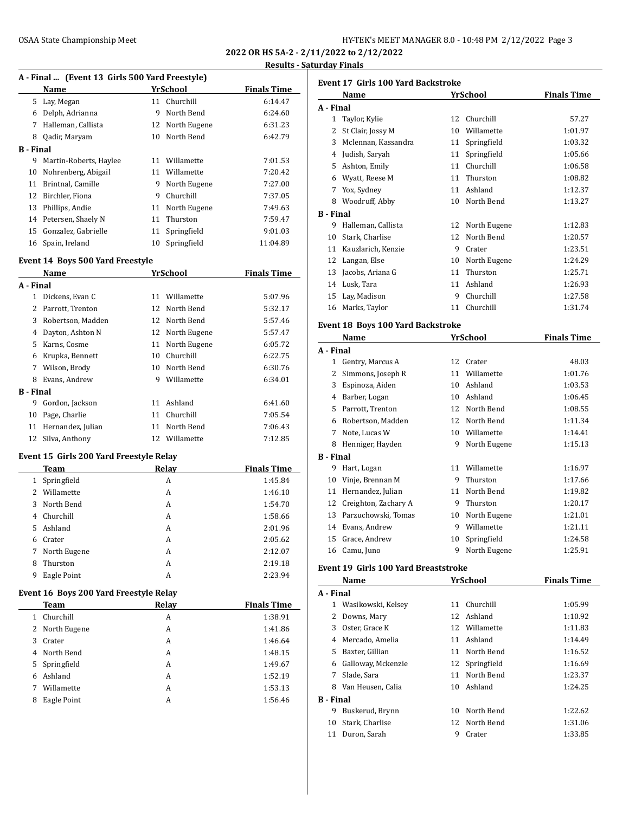**2022 OR HS 5A-2 - 2/11/2022 to 2/12/2022 Results - Saturday Finals**

#### **A - Final ... (Event 13 Girls 500 Yard Freestyle)**

| Thin "The Chine of the Soo furnities of the T |                        |          |                    |          |  |  |
|-----------------------------------------------|------------------------|----------|--------------------|----------|--|--|
|                                               | Name                   | YrSchool | <b>Finals Time</b> |          |  |  |
| 5.                                            | Lay, Megan             |          | 11 Churchill       | 6:14.47  |  |  |
| 6                                             | Delph, Adrianna        | 9        | North Bend         | 6:24.60  |  |  |
| 7                                             | Halleman, Callista     |          | 12 North Eugene    | 6:31.23  |  |  |
| 8                                             | Qadir, Maryam          | 10       | North Bend         | 6:42.79  |  |  |
| B - Final                                     |                        |          |                    |          |  |  |
| 9                                             | Martin-Roberts, Haylee |          | 11 Willamette      | 7:01.53  |  |  |
| 10                                            | Nohrenberg, Abigail    | 11       | Willamette         | 7:20.42  |  |  |
| 11                                            | Brintnal, Camille      | 9        | North Eugene       | 7:27.00  |  |  |
| 12                                            | Birchler, Fiona        | 9        | Churchill          | 7:37.05  |  |  |
| 13                                            | Phillips, Andie        | 11       | North Eugene       | 7:49.63  |  |  |
|                                               | 14 Petersen, Shaely N  |          | 11 Thurston        | 7:59.47  |  |  |
| 15                                            | Gonzalez, Gabrielle    |          | 11 Springfield     | 9:01.03  |  |  |
| 16                                            | Spain, Ireland         | 10       | Springfield        | 11:04.89 |  |  |
|                                               |                        |          |                    |          |  |  |

### **Event 14 Boys 500 Yard Freestyle**

|           | Name              | <b>YrSchool</b> |               | <b>Finals Time</b> |
|-----------|-------------------|-----------------|---------------|--------------------|
| A - Final |                   |                 |               |                    |
| 1.        | Dickens, Evan C   | 11              | Willamette    | 5:07.96            |
| 2         | Parrott, Trenton  |                 | 12 North Bend | 5:32.17            |
| 3         | Robertson, Madden | 12.             | North Bend    | 5:57.46            |
| 4         | Dayton, Ashton N  | 12              | North Eugene  | 5:57.47            |
| 5.        | Karns, Cosme      | 11              | North Eugene  | 6:05.72            |
| 6         | Krupka, Bennett   | 10              | Churchill     | 6:22.75            |
| 7         | Wilson, Brody     | 10              | North Bend    | 6:30.76            |
| 8         | Evans, Andrew     | 9               | Willamette    | 6:34.01            |
| B - Final |                   |                 |               |                    |
| 9         | Gordon, Jackson   | 11              | Ashland       | 6:41.60            |
| 10        | Page, Charlie     | 11              | Churchill     | 7:05.54            |
| 11        | Hernandez, Julian | 11              | North Bend    | 7:06.43            |
| 12        | Silva, Anthony    | 12.             | Willamette    | 7:12.85            |

### **Event 15 Girls 200 Yard Freestyle Relay**

|              | Team         | Relay | <b>Finals Time</b> |
|--------------|--------------|-------|--------------------|
| $\mathbf{1}$ | Springfield  | A     | 1:45.84            |
| $2^{\circ}$  | Willamette   | A     | 1:46.10            |
| 3            | North Bend   | A     | 1:54.70            |
| 4            | Churchill    | A     | 1:58.66            |
| 5.           | Ashland      | A     | 2:01.96            |
| 6            | Crater       | A     | 2:05.62            |
| 7            | North Eugene | A     | 2:12.07            |
| 8            | Thurston     | A     | 2:19.18            |
| 9            | Eagle Point  | А     | 2:23.94            |

### **Event 16 Boys 200 Yard Freestyle Relay**

|   | Team           | Relay | <b>Finals Time</b> |
|---|----------------|-------|--------------------|
|   | Churchill      | A     | 1:38.91            |
|   | 2 North Eugene | A     | 1:41.86            |
| 3 | Crater         | A     | 1:46.64            |
| 4 | North Bend     | A     | 1:48.15            |
| 5 | Springfield    | A     | 1:49.67            |
| 6 | Ashland        | A     | 1:52.19            |
| 7 | Willamette     | A     | 1:53.13            |
| 8 | Eagle Point    | А     | 1:56.46            |

| <b>Event 17 Girls 100 Yard Backstroke</b> |                                             |    |                 |                    |  |
|-------------------------------------------|---------------------------------------------|----|-----------------|--------------------|--|
|                                           | Name                                        |    | YrSchool        | <b>Finals Time</b> |  |
| A - Final                                 |                                             |    |                 |                    |  |
|                                           | 1 Taylor, Kylie                             |    | 12 Churchill    | 57.27              |  |
|                                           | 2 St Clair, Jossy M                         |    | 10 Willamette   | 1:01.97            |  |
|                                           | 3 Mclennan, Kassandra                       |    | 11 Springfield  | 1:03.32            |  |
|                                           | 4 Judish, Saryah                            |    | 11 Springfield  | 1:05.66            |  |
|                                           | 5 Ashton, Emily                             |    | 11 Churchill    | 1:06.58            |  |
|                                           | 6 Wyatt, Reese M                            |    | 11 Thurston     | 1:08.82            |  |
|                                           | 7 Yox, Sydney                               |    | 11 Ashland      | 1:12.37            |  |
|                                           | 8 Woodruff, Abby                            |    | 10 North Bend   | 1:13.27            |  |
| <b>B</b> - Final                          |                                             |    |                 |                    |  |
|                                           | 9 Halleman, Callista                        |    | 12 North Eugene | 1:12.83            |  |
|                                           | 10 Stark, Charlise                          |    | 12 North Bend   | 1:20.57            |  |
|                                           | 11 Kauzlarich, Kenzie                       |    | 9 Crater        | 1:23.51            |  |
|                                           | 12 Langan, Else                             |    | 10 North Eugene | 1:24.29            |  |
|                                           | 13 Jacobs, Ariana G                         |    | 11 Thurston     | 1:25.71            |  |
|                                           | 14 Lusk, Tara                               |    | 11 Ashland      | 1:26.93            |  |
|                                           | 15 Lay, Madison                             |    | 9 Churchill     | 1:27.58            |  |
|                                           | 16 Marks, Taylor                            |    | 11 Churchill    | 1:31.74            |  |
|                                           | Event 18 Boys 100 Yard Backstroke           |    |                 |                    |  |
|                                           | Name                                        |    | YrSchool        | <b>Finals Time</b> |  |
| A - Final                                 |                                             |    |                 |                    |  |
|                                           | 1 Gentry, Marcus A                          |    | 12 Crater       | 48.03              |  |
|                                           | 2 Simmons, Joseph R                         |    | 11 Willamette   | 1:01.76            |  |
|                                           | 3 Espinoza, Aiden                           |    | 10 Ashland      | 1:03.53            |  |
|                                           | 4 Barber, Logan                             |    | 10 Ashland      | 1:06.45            |  |
|                                           | 5 Parrott, Trenton                          |    | 12 North Bend   | 1:08.55            |  |
|                                           | 6 Robertson, Madden                         |    | 12 North Bend   | 1:11.34            |  |
|                                           | 7 Note, Lucas W                             |    | 10 Willamette   | 1:14.41            |  |
|                                           | 8 Henniger, Hayden                          |    | 9 North Eugene  | 1:15.13            |  |
| <b>B</b> - Final                          |                                             |    |                 |                    |  |
|                                           | 9 Hart, Logan                               |    | 11 Willamette   | 1:16.97            |  |
|                                           | 10 Vinje, Brennan M                         |    | 9 Thurston      | 1:17.66            |  |
|                                           | 11 Hernandez, Julian                        |    | 11 North Bend   | 1:19.82            |  |
|                                           | 12 Creighton, Zachary A                     |    | 9 Thurston      | 1:20.17            |  |
|                                           | 13 Parzuchowski, Tomas                      |    | 10 North Eugene | 1:21.01            |  |
|                                           | 14 Evans. Andrew                            | 9  | Willamette      | 1:21.11            |  |
| 15                                        | Grace, Andrew                               |    | 10 Springfield  | 1:24.58            |  |
| 16                                        | Camu, Juno                                  | 9  | North Eugene    | 1:25.91            |  |
|                                           | <b>Event 19 Girls 100 Yard Breaststroke</b> |    |                 |                    |  |
|                                           | Name                                        |    | YrSchool        | <b>Finals Time</b> |  |
| A - Final                                 |                                             |    |                 |                    |  |
|                                           | 1 Wasikowski, Kelsey                        | 11 | Churchill       | 1:05.99            |  |
| 2                                         | Downs, Mary                                 | 12 | Ashland         | 1:10.92            |  |
|                                           | 3 Oster, Grace K                            |    | 12 Willamette   | 1:11.83            |  |
|                                           | 4 Mercado, Amelia                           | 11 | Ashland         | 1:14.49            |  |
|                                           | 5 Baxter, Gillian                           | 11 | North Bend      | 1:16.52            |  |
|                                           | 6 Galloway, Mckenzie                        | 12 | Springfield     | 1:16.69            |  |
|                                           | 7 Slade, Sara                               | 11 | North Bend      | 1:23.37            |  |
|                                           |                                             |    |                 |                    |  |

### 8 Van Heusen, Calia 10 Ashland 1:24.25 **B - Final**

| · Final            |               |         |
|--------------------|---------------|---------|
| 9 Buskerud, Brynn  | 10 North Bend | 1:22.62 |
| 10 Stark. Charlise | 12 North Bend | 1:31.06 |
| 11 Duron, Sarah    | 9 Crater      | 1:33.85 |